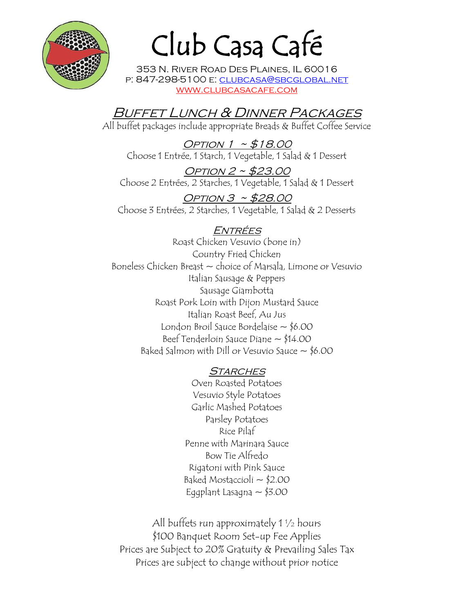

# Club Casa Café

353 N. River Road Des Plaines, IL 60016 p: 847-298-5100 e: clubcasa@sbcglobal.net www.clubcasacafe.com

# Buffet Lunch & Dinner Packages

All buffet packages include appropriate Breads & Buffet Coffee Service

Option  $1 \sim $18.00$ Choose 1 Entrée, 1 Starch, 1 Vegetable, 1 Salad & 1 Dessert

Option 2 ~ \$23.00 Choose 2 Entrées, 2 Starches, 1 Vegetable, 1 Salad & 1 Dessert

OPTION 3 ~ \$28.00 Choose 3 Entrées, 2 Starches, 1 Vegetable, 1 Salad & 2 Desserts

### ENTRÉES

Roast Chicken Vesuvio (bone in) Country Fried Chicken Boneless Chicken Breast  $\sim$  choice of Marsala, Limone or Vesuvio Italian Sausage & Peppers Sausage Giambotta Roast Pork Loin with Dijon Mustard Sauce Italian Roast Beef, Au Jus London Broil Sauce Bordelaise  $\sim$  \$6.00 Beef Tenderloin Sauce Diane  $\sim$  \$14.00 Baked Salmon with Dill or Vesuvio Sauce  $\sim$  \$6.00

## **STARCHES**

Oven Roasted Potatoes Vesuvio Style Potatoes Garlic Mashed Potatoes Parsley Potatoes Rice Pilaf Penne with Marinara Sauce Bow Tie Alfredo Rigatoni with Pink Sauce Baked Mostaccioli  $\sim$  \$2.00 Eggplant Lasagna  $\sim$  \$3.00

All buffets run approximately 1 ½ hours \$100 Banquet Room Set-up Fee Applies Prices are Subject to 20% Gratuity & Prevailing Sales Tax Prices are subject to change without prior notice